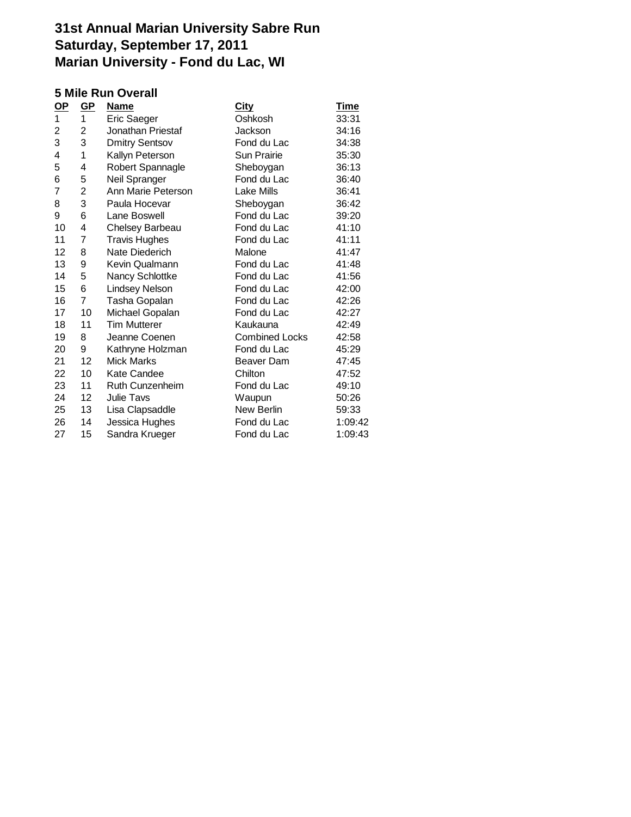### **5 Mile Run Overall**

| $OP$ | $\underline{\text{GP}}$ | <b>Name</b>           | <b>City</b>           | <b>Time</b> |
|------|-------------------------|-----------------------|-----------------------|-------------|
| 1    | 1                       | Eric Saeger           | Oshkosh               | 33:31       |
| 2    | 2                       | Jonathan Priestaf     | Jackson               | 34:16       |
| 3    | 3                       | <b>Dmitry Sentsov</b> | Fond du Lac           | 34:38       |
| 4    | 1                       | Kallyn Peterson       | <b>Sun Prairie</b>    | 35:30       |
| 5    | 4                       | Robert Spannagle      | Sheboygan             | 36:13       |
| 6    | 5                       | Neil Spranger         | Fond du Lac           | 36:40       |
| 7    | 2                       | Ann Marie Peterson    | Lake Mills            | 36:41       |
| 8    | 3                       | Paula Hocevar         | Sheboygan             | 36:42       |
| 9    | 6                       | Lane Boswell          | Fond du Lac           | 39:20       |
| 10   | 4                       | Chelsey Barbeau       | Fond du Lac           | 41:10       |
| 11   | 7                       | <b>Travis Hughes</b>  | Fond du Lac           | 41:11       |
| 12   | 8                       | Nate Diederich        | Malone                | 41:47       |
| 13   | 9                       | Kevin Qualmann        | Fond du Lac           | 41:48       |
| 14   | 5                       | Nancy Schlottke       | Fond du Lac           | 41:56       |
| 15   | 6                       | <b>Lindsey Nelson</b> | Fond du Lac           | 42:00       |
| 16   | $\overline{7}$          | Tasha Gopalan         | Fond du Lac           | 42:26       |
| 17   | 10                      | Michael Gopalan       | Fond du Lac           | 42:27       |
| 18   | 11                      | <b>Tim Mutterer</b>   | Kaukauna              | 42:49       |
| 19   | 8                       | Jeanne Coenen         | <b>Combined Locks</b> | 42:58       |
| 20   | 9                       | Kathryne Holzman      | Fond du Lac           | 45:29       |
| 21   | 12                      | <b>Mick Marks</b>     | Beaver Dam            | 47:45       |
| 22   | 10                      | <b>Kate Candee</b>    | Chilton               | 47:52       |
| 23   | 11                      | Ruth Cunzenheim       | Fond du Lac           | 49:10       |
| 24   | 12                      | <b>Julie Tavs</b>     | Waupun                | 50:26       |
| 25   | 13                      | Lisa Clapsaddle       | New Berlin            | 59:33       |
| 26   | 14                      | Jessica Hughes        | Fond du Lac           | 1:09:42     |
| 27   | 15                      | Sandra Krueger        | Fond du Lac           | 1:09:43     |
|      |                         |                       |                       |             |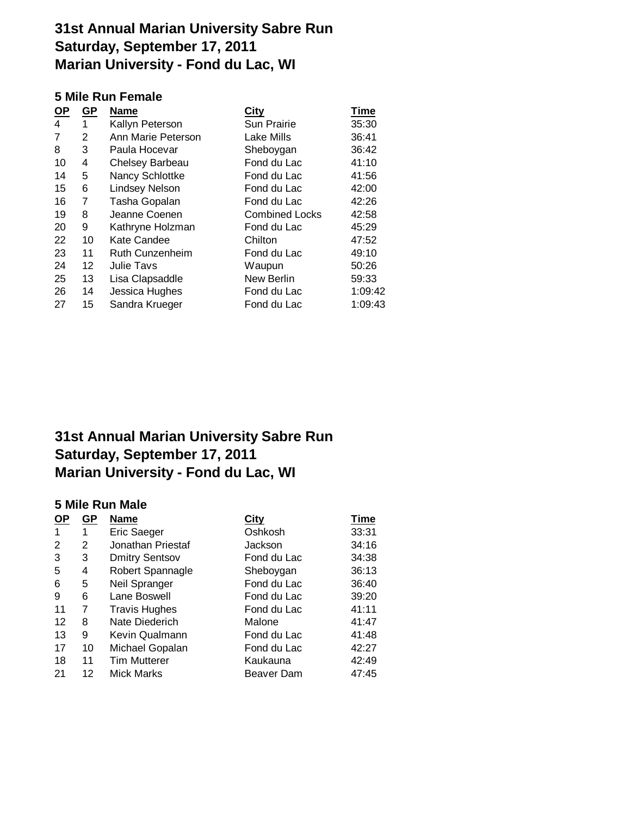### **5 Mile Run Female**

| $OP$ | $GP$         | <b>Name</b>            | <b>City</b>           | <b>Time</b> |
|------|--------------|------------------------|-----------------------|-------------|
| 4    | $\mathbf{1}$ | Kallyn Peterson        | Sun Prairie           | 35:30       |
| 7    | 2            | Ann Marie Peterson     | Lake Mills            | 36:41       |
| 8    | 3            | Paula Hocevar          | Sheboygan             | 36:42       |
| 10   | 4            | Chelsey Barbeau        | Fond du Lac           | 41:10       |
| 14   | 5            | Nancy Schlottke        | Fond du Lac           | 41:56       |
| 15   | 6            | <b>Lindsey Nelson</b>  | Fond du Lac           | 42:00       |
| 16   | 7            | Tasha Gopalan          | Fond du Lac           | 42:26       |
| 19   | 8            | Jeanne Coenen          | <b>Combined Locks</b> | 42:58       |
| 20   | 9            | Kathryne Holzman       | Fond du Lac           | 45:29       |
| 22   | 10           | <b>Kate Candee</b>     | Chilton               | 47:52       |
| 23   | 11           | <b>Ruth Cunzenheim</b> | Fond du Lac           | 49:10       |
| 24   | 12           | Julie Tavs             | Waupun                | 50:26       |
| 25   | 13           | Lisa Clapsaddle        | New Berlin            | 59:33       |
| 26   | 14           | Jessica Hughes         | Fond du Lac           | 1:09:42     |
| 27   | 15           | Sandra Krueger         | Fond du Lac           | 1:09:43     |
|      |              |                        |                       |             |

# **31st Annual Marian University Sabre Run Saturday, September 17, 2011 Marian University - Fond du Lac, WI**

### **5 Mile Run Male**

| <u>OP</u> | <b>GP</b> | <b>Name</b>           | <b>City</b> | <b>Time</b> |
|-----------|-----------|-----------------------|-------------|-------------|
| -1        | 1         | <b>Eric Saeger</b>    | Oshkosh     | 33:31       |
| 2         | 2         | Jonathan Priestaf     | Jackson     | 34:16       |
| 3         | 3         | <b>Dmitry Sentsov</b> | Fond du Lac | 34:38       |
| 5         | 4         | Robert Spannagle      | Sheboygan   | 36:13       |
| 6         | 5         | Neil Spranger         | Fond du Lac | 36:40       |
| 9         | 6         | Lane Boswell          | Fond du Lac | 39:20       |
| 11        | 7         | <b>Travis Hughes</b>  | Fond du Lac | 41:11       |
| 12        | 8         | Nate Diederich        | Malone      | 41:47       |
| 13        | 9         | Kevin Qualmann        | Fond du Lac | 41:48       |
| 17        | 10        | Michael Gopalan       | Fond du Lac | 42:27       |
| 18        | 11        | <b>Tim Mutterer</b>   | Kaukauna    | 42:49       |
| 21        | 12        | <b>Mick Marks</b>     | Beaver Dam  | 47:45       |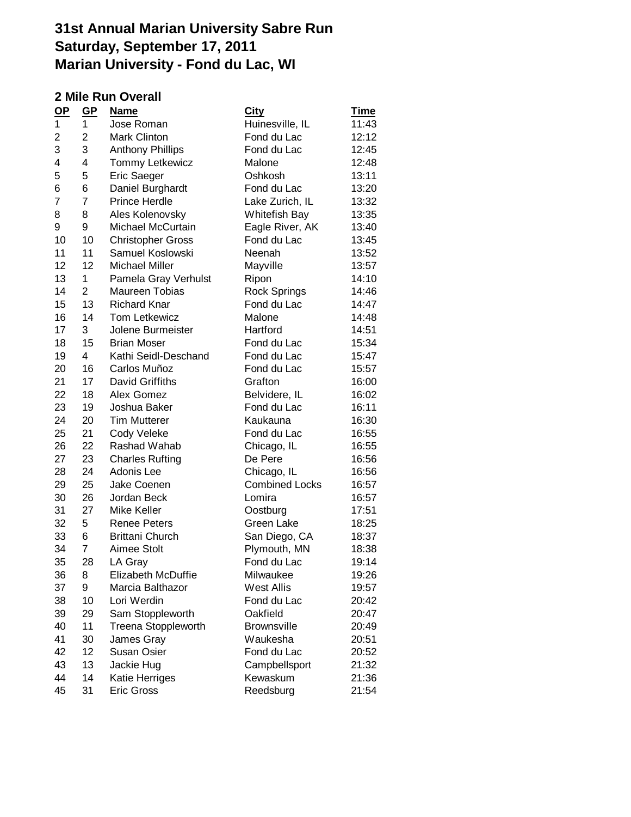### **2 Mile Run Overall**

| $OP$ | GP             | <b>Name</b>                | <u>City</u>           | <u>Time</u> |
|------|----------------|----------------------------|-----------------------|-------------|
| 1    | 1              | Jose Roman                 | Huinesville, IL       | 11:43       |
| 2    | 2              | <b>Mark Clinton</b>        | Fond du Lac           | 12:12       |
| 3    | 3              | <b>Anthony Phillips</b>    | Fond du Lac           | 12:45       |
| 4    | 4              | <b>Tommy Letkewicz</b>     | Malone                | 12:48       |
| 5    | 5              | <b>Eric Saeger</b>         | Oshkosh               | 13:11       |
| 6    | 6              | Daniel Burghardt           | Fond du Lac           | 13:20       |
| 7    | $\overline{7}$ | <b>Prince Herdle</b>       | Lake Zurich, IL       | 13:32       |
| 8    | 8              | Ales Kolenovsky            | Whitefish Bay         | 13:35       |
| 9    | 9              | Michael McCurtain          | Eagle River, AK       | 13:40       |
| 10   | 10             | <b>Christopher Gross</b>   | Fond du Lac           | 13:45       |
| 11   | 11             | Samuel Koslowski           | Neenah                | 13:52       |
| 12   | 12             | <b>Michael Miller</b>      | Mayville              | 13:57       |
| 13   | $\mathbf{1}$   | Pamela Gray Verhulst       | Ripon                 | 14:10       |
| 14   | $\overline{2}$ | Maureen Tobias             | <b>Rock Springs</b>   | 14:46       |
| 15   | 13             | <b>Richard Knar</b>        | Fond du Lac           | 14:47       |
| 16   | 14             | Tom Letkewicz              | Malone                | 14:48       |
| 17   | 3              | Jolene Burmeister          | Hartford              | 14:51       |
| 18   | 15             | <b>Brian Moser</b>         | Fond du Lac           | 15:34       |
| 19   | 4              | Kathi Seidl-Deschand       | Fond du Lac           | 15:47       |
| 20   | 16             | Carlos Muñoz               | Fond du Lac           | 15:57       |
| 21   | 17             | David Griffiths            | Grafton               | 16:00       |
| 22   | 18             | Alex Gomez                 | Belvidere, IL         | 16:02       |
| 23   | 19             | Joshua Baker               | Fond du Lac           | 16:11       |
| 24   | 20             | <b>Tim Mutterer</b>        | Kaukauna              | 16:30       |
| 25   | 21             | Cody Veleke                | Fond du Lac           | 16:55       |
| 26   | 22             | Rashad Wahab               | Chicago, IL           | 16:55       |
| 27   | 23             | <b>Charles Rufting</b>     | De Pere               | 16:56       |
| 28   | 24             | Adonis Lee                 | Chicago, IL           | 16:56       |
| 29   | 25             | Jake Coenen                | <b>Combined Locks</b> | 16:57       |
| 30   | 26             | Jordan Beck                | Lomira                | 16:57       |
| 31   | 27             | Mike Keller                | Oostburg              | 17:51       |
| 32   | 5              | <b>Renee Peters</b>        | Green Lake            | 18:25       |
| 33   | 6              | <b>Brittani Church</b>     | San Diego, CA         | 18:37       |
| 34   | 7              | Aimee Stolt                | Plymouth, MN          | 18:38       |
| 35   | 28             | LA Gray                    | Fond du Lac           | 19:14       |
| 36   | 8              | Elizabeth McDuffie         | Milwaukee             | 19:26       |
| 37   | 9              | Marcia Balthazor           | <b>West Allis</b>     | 19:57       |
| 38   | 10             | Lori Werdin                | Fond du Lac           | 20:42       |
| 39   | 29             | Sam Stoppleworth           | Oakfield              | 20:47       |
| 40   | 11             | <b>Treena Stoppleworth</b> | <b>Brownsville</b>    | 20:49       |
| 41   | 30             | James Gray                 | Waukesha              | 20:51       |
| 42   | 12             | Susan Osier                | Fond du Lac           | 20:52       |
| 43   | 13             | Jackie Hug                 | Campbellsport         | 21:32       |
| 44   | 14             | Katie Herriges             | Kewaskum              | 21:36       |
| 45   | 31             | Eric Gross                 | Reedsburg             | 21:54       |
|      |                |                            |                       |             |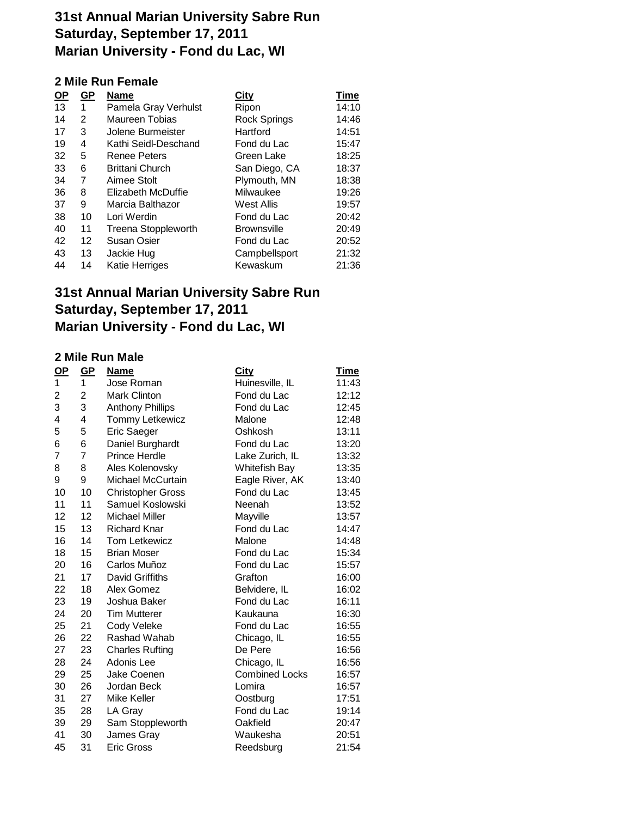## **2 Mile Run Female**

| <u>OP</u> | $\underline{\mathsf{GP}}$ | <b>Name</b>                | City               | <b>Time</b> |
|-----------|---------------------------|----------------------------|--------------------|-------------|
| 13        | 1                         | Pamela Gray Verhulst       | Ripon              | 14:10       |
| 14        | 2                         | Maureen Tobias             | Rock Springs       | 14:46       |
| 17        | 3                         | Jolene Burmeister          | Hartford           | 14:51       |
| 19        | 4                         | Kathi Seidl-Deschand       | Fond du Lac        | 15:47       |
| 32        | 5                         | <b>Renee Peters</b>        | Green Lake         | 18:25       |
| 33        | 6                         | <b>Brittani Church</b>     | San Diego, CA      | 18:37       |
| 34        | 7                         | Aimee Stolt                | Plymouth, MN       | 18:38       |
| 36        | 8                         | Elizabeth McDuffie         | Milwaukee          | 19:26       |
| 37        | 9                         | Marcia Balthazor           | West Allis         | 19:57       |
| 38        | 10                        | Lori Werdin                | Fond du Lac        | 20:42       |
| 40        | 11                        | <b>Treena Stoppleworth</b> | <b>Brownsville</b> | 20:49       |
| 42        | 12                        | Susan Osier                | Fond du Lac        | 20:52       |
| 43        | 13                        | Jackie Hug                 | Campbellsport      | 21:32       |
| 44        | 14                        | Katie Herriges             | Kewaskum           | 21:36       |
|           |                           |                            |                    |             |

## **31st Annual Marian University Sabre Run Saturday, September 17, 2011 Marian University - Fond du Lac, WI**

#### **2 Mile Run Male**

| $\mathbf{Q}$ P | GP | Name                     | <b>City</b>           | <b>Time</b> |
|----------------|----|--------------------------|-----------------------|-------------|
| 1              | 1  | Jose Roman               | Huinesville, IL       | 11:43       |
| 2              | 2  | <b>Mark Clinton</b>      | Fond du Lac           | 12:12       |
| 3              | 3  | <b>Anthony Phillips</b>  | Fond du Lac           | 12:45       |
| 4              | 4  | <b>Tommy Letkewicz</b>   | Malone                | 12:48       |
| 5              | 5  | Eric Saeger              | Oshkosh               | 13:11       |
| 6              | 6  | Daniel Burghardt         | Fond du Lac           | 13:20       |
| 7              | 7  | <b>Prince Herdle</b>     | Lake Zurich, IL       | 13:32       |
| 8              | 8  | Ales Kolenovsky          | <b>Whitefish Bay</b>  | 13:35       |
| 9              | 9  | Michael McCurtain        | Eagle River, AK       | 13:40       |
| 10             | 10 | <b>Christopher Gross</b> | Fond du Lac           | 13:45       |
| 11             | 11 | Samuel Koslowski         | Neenah                | 13:52       |
| 12             | 12 | Michael Miller           | Mayville              | 13:57       |
| 15             | 13 | <b>Richard Knar</b>      | Fond du Lac           | 14:47       |
| 16             | 14 | Tom Letkewicz            | Malone                | 14:48       |
| 18             | 15 | <b>Brian Moser</b>       | Fond du Lac           | 15:34       |
| 20             | 16 | Carlos Muñoz             | Fond du Lac           | 15:57       |
| 21             | 17 | David Griffiths          | Grafton               | 16:00       |
| 22             | 18 | Alex Gomez               | Belvidere, IL         | 16:02       |
| 23             | 19 | Joshua Baker             | Fond du Lac           | 16:11       |
| 24             | 20 | <b>Tim Mutterer</b>      | Kaukauna              | 16:30       |
| 25             | 21 | Cody Veleke              | Fond du Lac           | 16:55       |
| 26             | 22 | Rashad Wahab             | Chicago, IL           | 16:55       |
| 27             | 23 | <b>Charles Rufting</b>   | De Pere               | 16:56       |
| 28             | 24 | Adonis Lee               | Chicago, IL           | 16:56       |
| 29             | 25 | Jake Coenen              | <b>Combined Locks</b> | 16:57       |
| 30             | 26 | Jordan Beck              | Lomira                | 16:57       |
| 31             | 27 | Mike Keller              | Oostburg              | 17:51       |
| 35             | 28 | LA Gray                  | Fond du Lac           | 19:14       |
| 39             | 29 | Sam Stoppleworth         | Oakfield              | 20:47       |
| 41             | 30 | James Gray               | Waukesha              | 20:51       |
| 45             | 31 | <b>Eric Gross</b>        | Reedsburg             | 21:54       |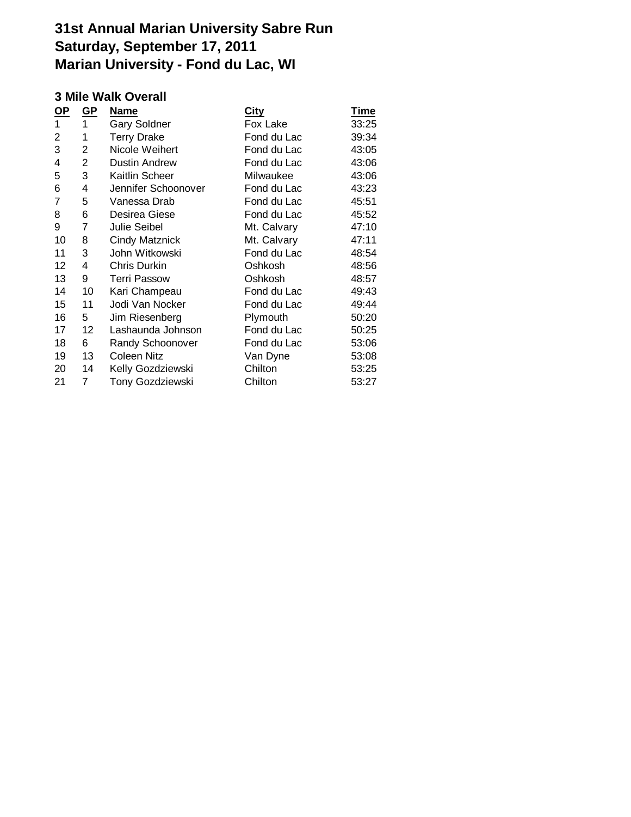### **3 Mile Walk Overall**

| $\underline{\mathsf{GP}}$ | <b>Name</b>           | <u>City</u> | <u>Time</u> |
|---------------------------|-----------------------|-------------|-------------|
| 1                         | <b>Gary Soldner</b>   | Fox Lake    | 33:25       |
| 1                         | <b>Terry Drake</b>    | Fond du Lac | 39:34       |
| 2                         | Nicole Weihert        | Fond du Lac | 43:05       |
| 2                         | <b>Dustin Andrew</b>  | Fond du Lac | 43:06       |
| 3                         | Kaitlin Scheer        | Milwaukee   | 43:06       |
| 4                         | Jennifer Schoonover   | Fond du Lac | 43:23       |
| 5                         | Vanessa Drab          | Fond du Lac | 45:51       |
| 6                         | Desirea Giese         | Fond du Lac | 45:52       |
| 7                         | Julie Seibel          | Mt. Calvary | 47:10       |
| 8                         | <b>Cindy Matznick</b> | Mt. Calvary | 47:11       |
| 3                         | John Witkowski        | Fond du Lac | 48:54       |
| 4                         | Chris Durkin          | Oshkosh     | 48:56       |
| 9                         | <b>Terri Passow</b>   | Oshkosh     | 48:57       |
| 10                        | Kari Champeau         | Fond du Lac | 49:43       |
| 11                        | Jodi Van Nocker       | Fond du Lac | 49:44       |
| 5                         | Jim Riesenberg        | Plymouth    | 50:20       |
| 12                        | Lashaunda Johnson     | Fond du Lac | 50:25       |
| 6                         | Randy Schoonover      | Fond du Lac | 53:06       |
| 13                        | <b>Coleen Nitz</b>    | Van Dyne    | 53:08       |
| 14                        | Kelly Gozdziewski     | Chilton     | 53:25       |
| 7                         | Tony Gozdziewski      | Chilton     | 53:27       |
|                           |                       |             |             |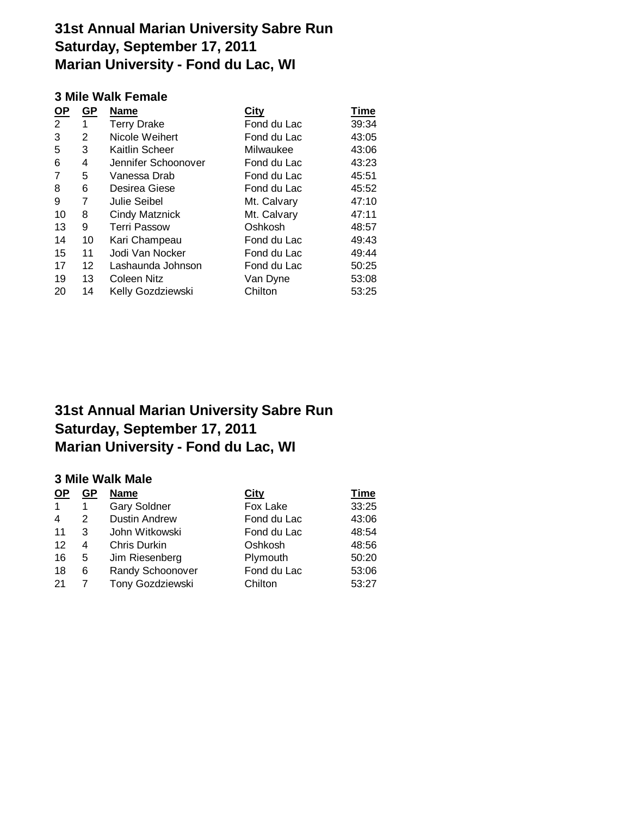### **3 Mile Walk Female**

| <u>OP</u> | GP              | <b>Name</b>           | City        | <b>Time</b> |
|-----------|-----------------|-----------------------|-------------|-------------|
| 2         | 1               | <b>Terry Drake</b>    | Fond du Lac | 39:34       |
| 3         | 2               | Nicole Weihert        | Fond du Lac | 43:05       |
| 5         | 3               | Kaitlin Scheer        | Milwaukee   | 43:06       |
| 6         | 4               | Jennifer Schoonover   | Fond du Lac | 43:23       |
| 7         | 5               | Vanessa Drab          | Fond du Lac | 45:51       |
| 8         | 6               | Desirea Giese         | Fond du Lac | 45:52       |
| 9         | 7               | <b>Julie Seibel</b>   | Mt. Calvary | 47:10       |
| 10        | 8               | <b>Cindy Matznick</b> | Mt. Calvary | 47:11       |
| 13        | 9               | <b>Terri Passow</b>   | Oshkosh     | 48:57       |
| 14        | 10              | Kari Champeau         | Fond du Lac | 49:43       |
| 15        | 11              | Jodi Van Nocker       | Fond du Lac | 49:44       |
| 17        | 12 <sup>2</sup> | Lashaunda Johnson     | Fond du Lac | 50:25       |
| 19        | 13              | Coleen Nitz           | Van Dyne    | 53:08       |
| 20        | 14              | Kelly Gozdziewski     | Chilton     | 53:25       |
|           |                 |                       |             |             |

# **31st Annual Marian University Sabre Run Saturday, September 17, 2011 Marian University - Fond du Lac, WI**

### **3 Mile Walk Male**

| <b>OP</b> | GP | <b>Name</b>          | <b>City</b> | <u>Time</u> |
|-----------|----|----------------------|-------------|-------------|
| 1         | 1  | <b>Gary Soldner</b>  | Fox Lake    | 33:25       |
| 4         | 2  | <b>Dustin Andrew</b> | Fond du Lac | 43:06       |
| 11        | 3  | John Witkowski       | Fond du Lac | 48:54       |
| 12        | 4  | Chris Durkin         | Oshkosh     | 48:56       |
| 16        | 5  | Jim Riesenberg       | Plymouth    | 50:20       |
| 18        | 6  | Randy Schoonover     | Fond du Lac | 53:06       |
| -21       | 7  | Tony Gozdziewski     | Chilton     | 53:27       |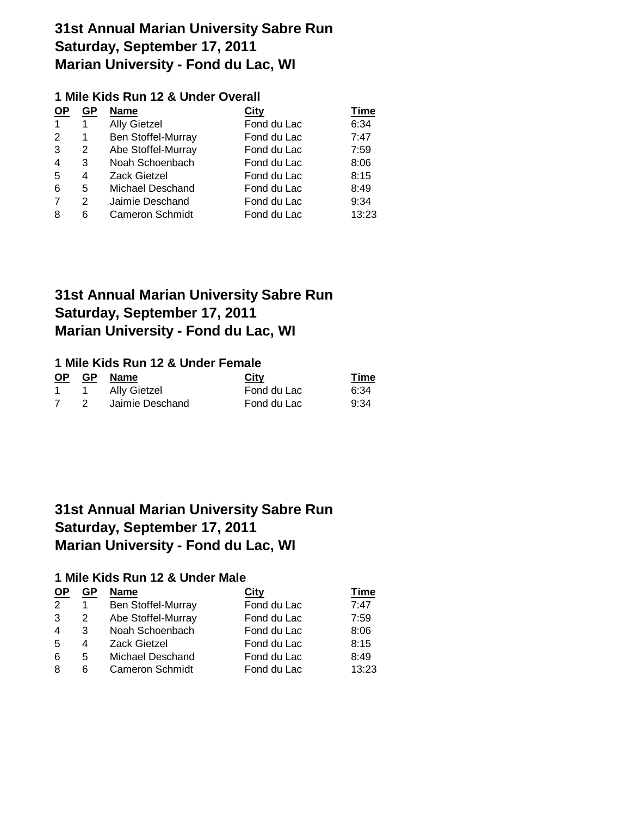### **1 Mile Kids Run 12 & Under Overall**

| <b>OP</b>      | <b>GP</b>     | <b>Name</b>            | <b>City</b> | Time  |
|----------------|---------------|------------------------|-------------|-------|
|                | 1             | <b>Ally Gietzel</b>    | Fond du Lac | 6:34  |
| 2              | 1             | Ben Stoffel-Murray     | Fond du Lac | 7:47  |
| 3              | 2             | Abe Stoffel-Murray     | Fond du Lac | 7:59  |
| $\overline{4}$ | 3             | Noah Schoenbach        | Fond du Lac | 8:06  |
| 5              | 4             | <b>Zack Gietzel</b>    | Fond du Lac | 8:15  |
| 6              | 5             | Michael Deschand       | Fond du Lac | 8:49  |
| 7              | $\mathcal{P}$ | Jaimie Deschand        | Fond du Lac | 9:34  |
| 8              | 6             | <b>Cameron Schmidt</b> | Fond du Lac | 13:23 |

## **31st Annual Marian University Sabre Run Saturday, September 17, 2011 Marian University - Fond du Lac, WI**

### **1 Mile Kids Run 12 & Under Female**

| <b>OP</b> | <b>GP</b> | Name            | City        | Time |
|-----------|-----------|-----------------|-------------|------|
|           |           | 1 Ally Gietzel  | Fond du Lac | 6:34 |
|           |           | Jaimie Deschand | Fond du Lac | 9:34 |

# **31st Annual Marian University Sabre Run Saturday, September 17, 2011 Marian University - Fond du Lac, WI**

### **1 Mile Kids Run 12 & Under Male**

| <b>OP</b> | GP | <b>Name</b>            | City        | Time  |
|-----------|----|------------------------|-------------|-------|
| 2         |    | Ben Stoffel-Murray     | Fond du Lac | 7:47  |
| 3         | 2  | Abe Stoffel-Murray     | Fond du Lac | 7:59  |
| 4         | 3  | Noah Schoenbach        | Fond du Lac | 8:06  |
| 5         | 4  | <b>Zack Gietzel</b>    | Fond du Lac | 8:15  |
| 6         | 5  | Michael Deschand       | Fond du Lac | 8:49  |
| 8         | 6  | <b>Cameron Schmidt</b> | Fond du Lac | 13:23 |